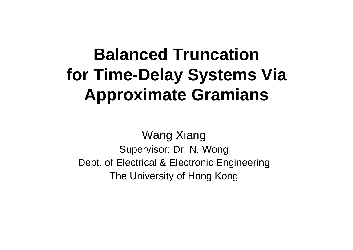# **Balanced Truncation for Time-Delay Systems Via Approximate Gramians**

Wang Xiang Supervisor: Dr. N. Wong Dept. of Electrical & Electronic Engineering The University of Hong Kong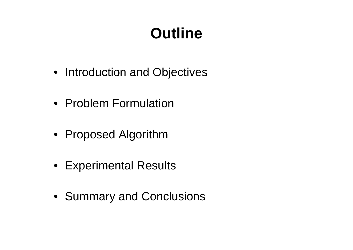# **Outline**

- Introduction and Objectives
- Problem Formulation
- Proposed Algorithm
- Experimental Results
- Summary and Conclusions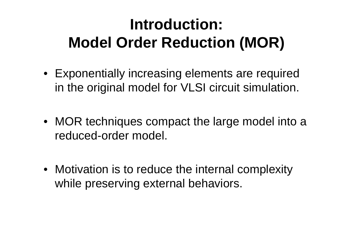# **Introduction: Model Order Reduction (MOR)**

- Exponentially increasing elements are required in the original model for VLSI circuit simulation.
- MOR techniques compact the large model into a reduced-order model.
- Motivation is to reduce the internal complexity while preserving external behaviors.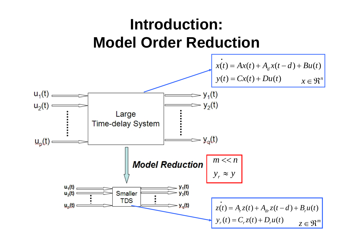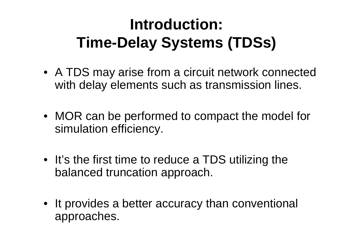# **Introduction: Time-Delay Systems (TDSs)**

- A TDS may arise from a circuit network connected with delay elements such as transmission lines.
- MOR can be performed to compact the model for simulation efficiency.
- It's the first time to reduce a TDS utilizing the balanced truncation approach.
- It provides a better accuracy than conventional approaches.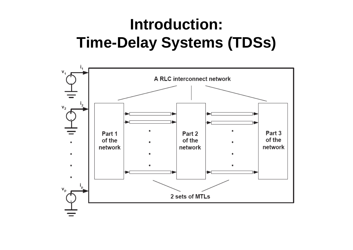## **Introduction: Time-Delay Systems (TDSs)**

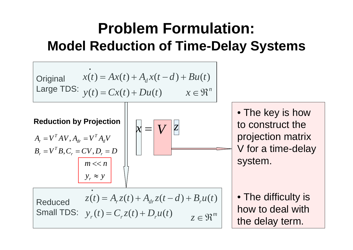## **Problem Formulation: Model Reduction of Time-Delay Systems**



• The key is how to construct the projection matrix V for a time-delay system.

• The difficulty is how to deal with the delay term.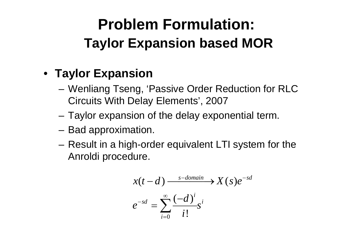## **Problem Formulation: Taylor Expansion based MOR**

#### • **Taylor Expansion**

- and the state of the Wenliang Tseng, 'Passive Order Reduction for RLC Circuits With Delay Elements', 2007
- **Links of the Company** Taylor expansion of the delay exponential term.
- **Links of the Company** Bad approximation.
- **Links of the Company**  Result in a high-order equivalent LTI system for the Anroldi procedure.

$$
x(t-d) \xrightarrow{\text{s-domain}} X(s)e^{-sd}
$$

$$
e^{-sd} = \sum_{i=0}^{\infty} \frac{(-d)^i}{i!} s^i
$$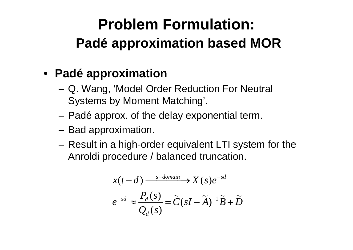## **Problem Formulation: Padé approximation based MOR**

#### • **Padé approximation**

- and the state of the Q. Wang, 'Model Order Reduction For Neutral Systems by Moment Matching'.
- **Links of the Company** Padé approx. of the delay exponential term.
- **Links of the Company** Bad approximation.
- **Links of the Company**  Result in a high-order equivalent LTI system for the Anroldi procedure / balanced truncation.

$$
x(t-d) \xrightarrow{s-domain} X(s)e^{-sd}
$$

$$
e^{-sd} \approx \frac{P_d(s)}{Q_d(s)} = \widetilde{C}(sI - \widetilde{A})^{-1}\widetilde{B} + \widetilde{D}
$$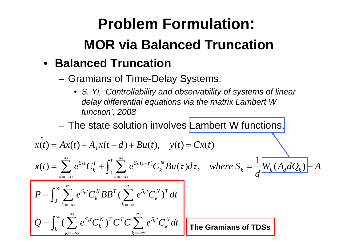# **Problem Formulation: MOR via Balanced Truncation**

#### • **Balanced Truncation**

*k*

=−∞

and the state of the Gramians of Time-Delay Systems.

*k*

∞ k=–∞

• *S. Yi, 'Controllability and observability of systems of linear delay differential equations via the matrix Lambert W function', 2008*

– The state solution involves Lambert W functions.

$$
\begin{aligned}\n\dot{x}(t) &= Ax(t) + A_d x(t-d) + Bu(t), \quad y(t) = Cx(t) \\
x(t) &= \sum_{k=-\infty}^{\infty} e^{S_k t} C_k^I + \int_0^t \sum_{k=-\infty}^{\infty} e^{S_k (t-\tau)} C_k^N B u(\tau) d\tau, \quad \text{where } S_k = \frac{1}{d} \frac{W_k (A_d dQ_k)}{W_k (A_d dQ_k)} + A \\
P &= \int_0^{\infty} \sum_{k=-\infty}^{\infty} e^{S_k t} C_k^N B B^T (\sum_{k=-\infty}^{\infty} e^{S_k t} C_k^N)^T dt \\
Q &= \int_0^{\infty} (\sum_{k=-\infty}^{\infty} e^{S_k t} C_k^N)^T C^T C \sum_{k=-\infty}^{\infty} e^{S_k t} C_k^N dt\n\end{aligned}
$$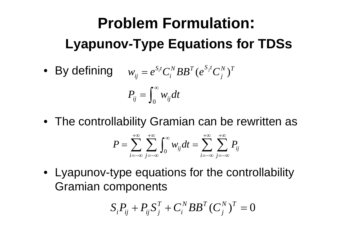# **Problem Formulation: Lyapunov-Type Equations for TDSs**

• By defining  $w_{ij} = e^{S_i t} C_i^N B B^T (e^{S_j t} C_j^N)^T$ 

$$
P_{ij}=\int_0^\infty w_{ij}dt
$$

• The controllability Gramian can be rewritten as

$$
P = \sum_{i=-\infty}^{+\infty} \sum_{j=-\infty}^{+\infty} \int_0^{\infty} w_{ij} dt = \sum_{i=-\infty}^{+\infty} \sum_{j=-\infty}^{+\infty} P_{ij}
$$

• Lyapunov-type equations for the controllability Gramian components

$$
S_i P_{ij} + P_{ij} S_j^T + C_i^N B B^T (C_j^N)^T = 0
$$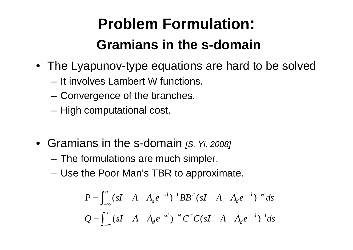# **Problem Formulation: Gramians in the s-domain**

- The Lyapunov-type equations are hard to be solved
	- It involves Lambert W functions.
	- and the state of the Convergence of the branches.
	- and the state of the High computational cost.
- Gramians in the s-domain *[S. Yi, 2008]*
	- **Links of the Company** The formulations are much simpler.
	- **Links of the Company** Use the Poor Man's TBR to approximate.

$$
P = \int_{-\infty}^{\infty} (sI - A - A_d e^{-sd})^{-1} BB^T (sI - A - A_d e^{-sd})^{-H} ds
$$
  

$$
Q = \int_{-\infty}^{\infty} (sI - A - A_d e^{-sd})^{-H} C^T C (sI - A - A_d e^{-sd})^{-1} ds
$$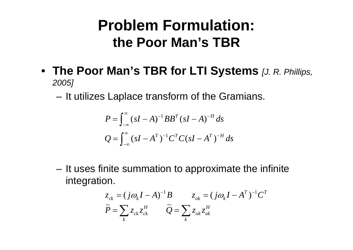#### **Problem Formulation: the Poor Man's TBR**

- **The Poor Man's TBR for LTI Systems** *[J. R. Phillips, 2005]*
	- and the state of the It utilizes Laplace transform of the Gramians.

$$
P = \int_{-\infty}^{\infty} (sI - A)^{-1} BB^{T} (sI - A)^{-H} ds
$$
  

$$
Q = \int_{-\infty}^{\infty} (sI - A^{T})^{-1} C^{T} C (sI - A^{T})^{-H} ds
$$

and the state of the It uses finite summation to approximate the infinite integration.

$$
z_{ck} = (j\omega_k I - A)^{-1}B \t z_{ok} = (j\omega_k I - A^T)^{-1}C^T
$$
  

$$
\widetilde{P} = \sum_k z_{ck} z_{ck}^H \t \widetilde{Q} = \sum_k z_{ok} z_{ok}^H
$$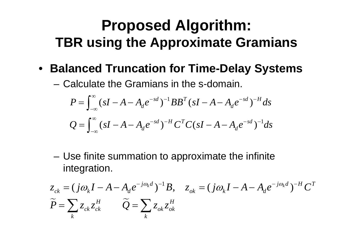#### **Proposed Algorithm: TBR using the Approximate Gramians**

• **Balanced Truncation for Time-Delay Systems**

– Calculate the Gramians in the s-domain.

$$
P = \int_{-\infty}^{\infty} (sI - A - A_d e^{-sd})^{-1} BB^T (sI - A - A_d e^{-sd})^{-H} ds
$$
  

$$
Q = \int_{-\infty}^{\infty} (sI - A - A_d e^{-sd})^{-H} C^T C (sI - A - A_d e^{-sd})^{-1} ds
$$

and the state of the Use finite summation to approximate the infinite integration.

$$
z_{ck} = (j\omega_k I - A - A_d e^{-j\omega_k d})^{-1} B, \quad z_{ok} = (j\omega_k I - A - A_d e^{-j\omega_k d})^{-H} C^T
$$
  

$$
\widetilde{P} = \sum_k z_{ck} z_{ck}^H \qquad \widetilde{Q} = \sum_k z_{ok} z_{ok}^H
$$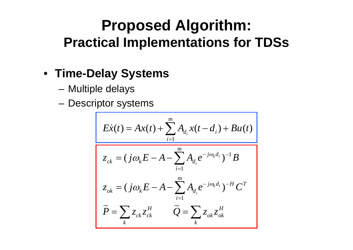#### **Proposed Algorithm: Practical Implementations for TDSs**

#### • **Time-Delay Systems**

- and the state of the Multiple delays
- and the state of the Descriptor systems

$$
E\dot{x}(t) = Ax(t) + \sum_{i=1}^{m} A_{d_i} x(t - d_i) + Bu(t)
$$
  

$$
z_{ck} = (j\omega_k E - A - \sum_{i=1}^{m} A_{d_i} e^{-j\omega_k d_i})^{-1} B
$$
  

$$
z_{ok} = (j\omega_k E - A - \sum_{i=1}^{m} A_{d_i} e^{-j\omega_k d_i})^{-H} C^T
$$
  

$$
\widetilde{P} = \sum_k z_{ck} z_{ck}^H \qquad \widetilde{Q} = \sum_k z_{ok} z_{ok}^H
$$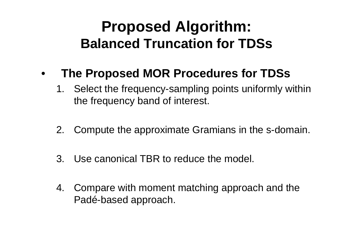### **Proposed Algorithm: Balanced Truncation for TDSs**

#### •**The Proposed MOR Procedures for TDSs**

- 1. Select the frequency-sampling points uniformly within the frequency band of interest.
- 2. Compute the approximate Gramians in the s-domain.
- 3. Use canonical TBR to reduce the model.
- 4. Compare with moment matching approach and the Padé-based approach.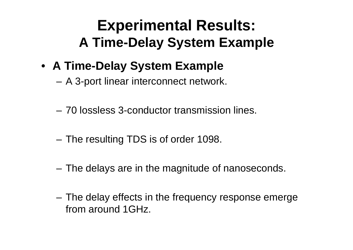## **Experimental Results: A Time-Delay System Example**

- **A Time-Delay System Example**
	- and the state of the A 3-port linear interconnect network.
	- 70 lossless 3-conductor transmission lines.
	- and the state of the The resulting TDS is of order 1098.
	- –The delays are in the magnitude of nanoseconds.
	- – The delay effects in the frequency response emerge from around 1GHz.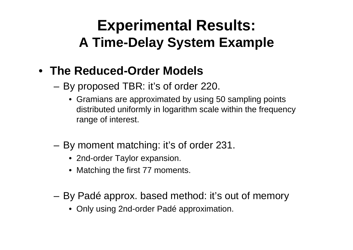## **Experimental Results: A Time-Delay System Example**

#### • **The Reduced-Order Models**

- and the state of the By proposed TBR: it's of order 220.
	- Gramians are approximated by using 50 sampling points distributed uniformly in logarithm scale within the frequency range of interest.
- – By moment matching: it's of order 231.
	- 2nd-order Taylor expansion.
	- Matching the first 77 moments.
- **Links of the Company**  By Padé approx. based method: it's out of memory
	- Only using 2nd-order Padé approximation.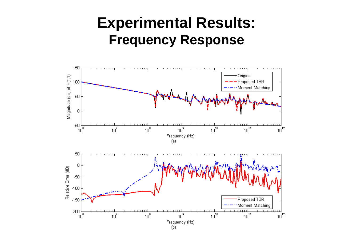#### **Experimental Results: Frequency Response**

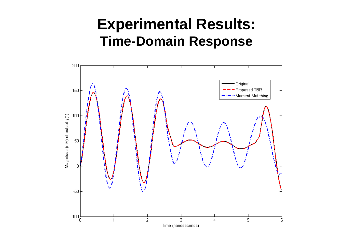#### **Experimental Results: Time-Domain Response**

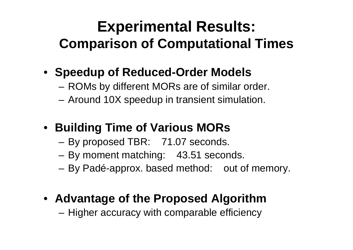## **Experimental Results: Comparison of Computational Times**

- **Speedup of Reduced-Order Models**
	- **Links of the Company** ROMs by different MORs are of similar order.
	- and the state of the Around 10X speedup in transient simulation.
- **Building Time of Various MORs**
	- **Links of the Company** By proposed TBR: 71.07 seconds.
	- and the state of the By moment matching: 43.51 seconds.
	- –By Padé-approx. based method: out of memory.
- **Advantage of the Proposed Algorithm**

and the state of the Higher accuracy with comparable efficiency